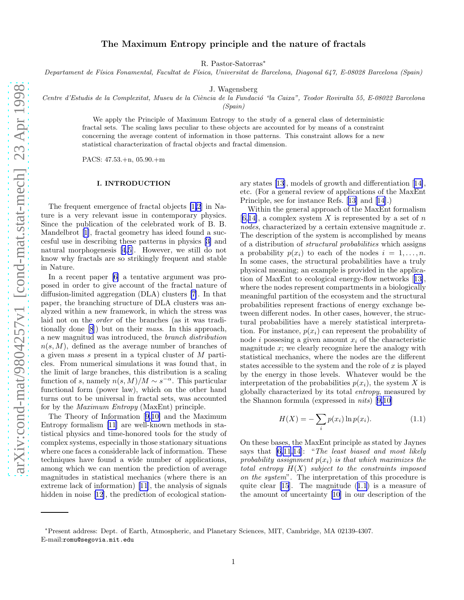# The Maximum Entropy principle and the nature of fractals

R. Pastor-Satorras<sup>∗</sup>

Departament de Física Fonamental, Facultat de Física, Universitat de Barcelona, Diagonal 647, E-08028 Barcelona (Spain)

J. Wagensberg

Centre d'Estudis de la Complexitat, Museu de la Ciència de la Fundació "la Caixa", Teodor Roviralta 55, E-08022 Barcelona

(Spain)

We apply the Principle of Maximum Entropy to the study of a general class of deterministic fractal sets. The scaling laws peculiar to these objects are accounted for by means of a constraint concerning the average content of information in those patterns. This constraint allows for a new statistical characterization of fractal objects and fractal dimension.

PACS: 47.53.+n, 05.90.+m

## I. INTRODUCTION

The frequent emergence of fractal objects [\[1,2](#page-5-0)] in Nature is a very relevant issue in contemporary physics. Since the publication of the celebrated work of B. B. Mandelbrot[[1](#page-5-0)], fractal geometry has ideed found a succesful use in describing these patterns in physics[[3\]](#page-5-0) and natural morphogenesis [\[4](#page-5-0),[5\]](#page-5-0). However, we still do not know why fractals are so strikingly frequent and stable in Nature.

In a recent paper [\[6](#page-6-0)] a tentative argument was proposed in order to give account of the fractal nature of diffusion-limited aggregation (DLA) clusters [\[7](#page-6-0)]. In that paper, the branching structure of DLA clusters was analyzed within a new framework, in which the stress was laid not on the order of the branches (as it was traditionally done [\[8](#page-6-0)]) but on their mass. In this approach, a new magnitud was introduced, the branch distribution  $n(s, M)$ , defined as the average number of branches of a given mass s present in a typical cluster of M particles. From numerical simulations it was found that, in the limit of large branches, this distribution is a scaling function of s, namely  $n(s, M)/M \sim s^{-\alpha}$ . This particular functional form (power law), which on the other hand turns out to be universal in fractal sets, was accounted for by the Maximum Entropy (MaxEnt) principle.

The Theory of Information[[9,10\]](#page-6-0) and the Maximum Entropy formalism [\[11](#page-6-0)] are well-known methods in statistical physics and time-honored tools for the study of complex systems, especially in those stationary situations where one faces a considerable lack of information. These techniques have found a wide number of applications, among which we can mention the prediction of average magnitudes in statistical mechanics (where there is an extreme lack of information)[[11\]](#page-6-0), the analysis of signals hidden in noise [\[12](#page-6-0)], the prediction of ecological stationary states[[13](#page-6-0)], models of growth and differentiation[[14\]](#page-6-0), etc. (For a general review of applications of the MaxEnt Principle, see for instance Refs.[[13\]](#page-6-0) and[[14\]](#page-6-0).)

Within the general approach of the MaxEnt formalism [[6,14\]](#page-6-0), a complex system X is represented by a set of n nodes, characterized by a certain extensive magnitude x. The description of the system is accomplished by means of a distribution of structural probabilities which assigns a probability  $p(x_i)$  to each of the nodes  $i = 1, \ldots, n$ . In some cases, the structural probabilities have a truly physical meaning; an example is provided in the application of MaxEnt to ecological energy-flow networks[[13\]](#page-6-0), where the nodes represent compartments in a biologically meaningful partition of the ecosystem and the structural probabilities represent fractions of energy exchange between different nodes. In other cases, however, the structural probabilities have a merely statistical interpretation. For instance,  $p(x_i)$  can represent the probability of node i possesing a given amount  $x_i$  of the characteristic magnitude  $x$ ; we clearly recognize here the analogy with statistical mechanics, where the nodes are the different states accessible to the system and the role of  $x$  is played by the energy in those levels. Whatever would be the interpretation of the probabilities  $p(x_i)$ , the system X is globally characterized by its total entropy, measured by the Shannon formula (expressed in nits)[[9,10\]](#page-6-0)

$$
H(X) = -\sum_{i} p(x_i) \ln p(x_i).
$$
 (1.1)

On these bases, the MaxEnt principle as stated by Jaynes says that  $[6,11,14]$  $[6,11,14]$ : "The least biased and most likely probability assignment  $p(x_i)$  is that which maximizes the total entropy  $H(X)$  subject to the constraints imposed on the system". The interpretation of this procedure is quite clear [\[15](#page-6-0)]. The magnitude (1.1) is a measure of the amount of uncertainty[[10\]](#page-6-0) in our description of the

<sup>∗</sup>Present address: Dept. of Earth, Atmospheric, and Planetary Sciences, MIT, Cambridge, MA 02139-4307. E-mail:romu@segovia.mit.edu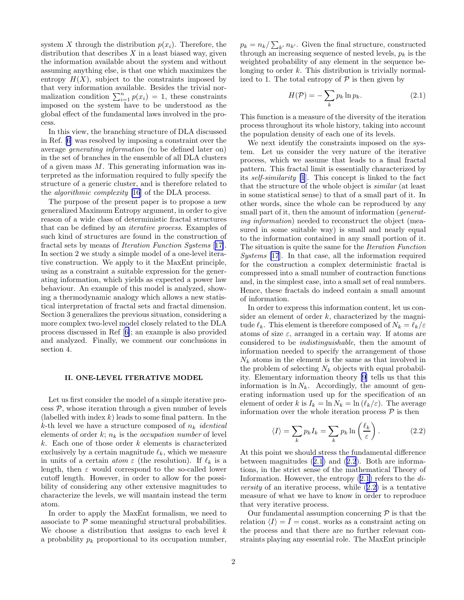<span id="page-1-0"></span>system X through the distribution  $p(x_i)$ . Therefore, the distribution that describes  $X$  in a least biased way, given the information available about the system and without assuming anything else, is that one which maximizes the entropy  $H(X)$ , subject to the constraints imposed by that very information available. Besides the trivial normalization condition  $\sum_{i=1}^{n} p(x_i) = 1$ , these constraints imposed on the system have to be understood as the global effect of the fundamental laws involved in the process.

In this view, the branching structure of DLA discussed in Ref. [\[6](#page-6-0)] was resolved by imposing a constraint over the average generating information (to be defined later on) in the set of branches in the ensemble of all DLA clusters of a given mass  $M$ . This generating information was interpreted as the information required to fully specify the structure of a generic cluster, and is therefore related to the algorithmic complexity [[16](#page-6-0)] of the DLA process.

The purpose of the present paper is to propose a new generalized Maximum Entropy argument, in order to give reason of a wide class of deterministic fractal structures that can be defined by an iterative process. Examples of such kind of structures are found in the construction of fractal sets by means of Iteration Function Systems [[17\]](#page-6-0). In section 2 we study a simple model of a one-level iterative construction. We apply to it the MaxEnt principle, using as a constraint a suitable expression for the generating information, which yields as expected a power law behaviour. An example of this model is analyzed, showing a thermodynamic analogy which allows a new statistical interpretation of fractal sets and fractal dimension. Section 3 generalizes the previous situation, considering a more complex two-level model closely related to the DLA process discussed in Ref[[6\]](#page-6-0); an example is also provided and analyzed. Finally, we comment our conclusions in section 4.

### II. ONE-LEVEL ITERATIVE MODEL

Let us first consider the model of a simple iterative pro- $\cos \mathcal{P}$ , whose iteration through a given number of levels (labelled with index  $k$ ) leads to some final pattern. In the k-th level we have a structure composed of  $n_k$  *identical* elements of order k;  $n_k$  is the *occupation number* of level  $k$ . Each one of those order  $k$  elements is characterized exclusively by a certain magnitude  $\ell_k$ , which we measure in units of a certain *atom*  $\varepsilon$  (the resolution). If  $\ell_k$  is a length, then  $\varepsilon$  would correspond to the so-called lower cutoff length. However, in order to allow for the possibility of considering any other extensive magnitudes to characterize the levels, we will mantain instead the term atom.

In order to apply the MaxEnt formalism, we need to associate to  $P$  some meaningful structural probabilities. We choose a distribution that assigns to each level  $k$ a probability  $p_k$  proportional to its occupation number,

 $p_k = n_k / \sum_{k'} n_{k'}$ . Given the final structure, constructed through an increasing sequence of nested levels,  $p_k$  is the weighted probability of any element in the sequence belonging to order  $k$ . This distribution is trivially normalized to 1. The total entropy of  $P$  is then given by

$$
H(\mathcal{P}) = -\sum_{k} p_k \ln p_k. \tag{2.1}
$$

This function is a measure of the diversity of the iteration process throughout its whole history, taking into account the population density of each one of its levels.

We next identify the constraints imposed on the system. Let us consider the very nature of the iterative process, which we assume that leads to a final fractal pattern. This fractal limit is essentially characterized by its self-similarity [\[1](#page-5-0)]. This concept is linked to the fact that the structure of the whole object is similar (at least in some statistical sense) to that of a small part of it. In other words, since the whole can be reproduced by any small part of it, then the amount of information (*generat*ing information) needed to reconstruct the object (measured in some suitable way) is small and nearly equal to the information contained in any small portion of it. The situation is quite the same for the Iteration Function Systems [\[17](#page-6-0)]. In that case, all the information required for the construction a complex deterministic fractal is compressed into a small number of contraction functions and, in the simplest case, into a small set of real numbers. Hence, these fractals do indeed contain a small amount of information.

In order to express this information content, let us consider an element of order  $k$ , characterized by the magnitude  $\ell_k$ . This element is therefore composed of  $N_k = \ell_k/\varepsilon$ atoms of size  $\varepsilon$ , arranged in a certain way. If atoms are considered to be indistinguishable, then the amount of information needed to specify the arrangement of those  $N_k$  atoms in the element is the same as that involved in the problem of selecting  $N_k$  objects with equal probability. Elementary information theory [\[9](#page-6-0)] tells us that this information is  $\ln N_k$ . Accordingly, the amount of generating information used up for the specification of an element of order k is  $I_k = \ln N_k = \ln (\ell_k/\varepsilon)$ . The average information over the whole iteration process  $P$  is then

$$
\langle I \rangle = \sum_{k} p_k I_k = \sum_{k} p_k \ln \left( \frac{\ell_k}{\varepsilon} \right). \tag{2.2}
$$

At this point we should stress the fundamental difference between magnitudes (2.1) and (2.2). Both are informations, in the strict sense of the mathematical Theory of Information. However, the entropy  $(2.1)$  refers to the  $di$ *versity* of an iterative process, while  $(2.2)$  is a tentative measure of what we have to know in order to reproduce that very iterative process.

Our fundamental assumption concerning  $P$  is that the relation  $\langle I \rangle = \overline{I} = \text{const.}$  works as a constraint acting on the process and that there are no further relevant constraints playing any essential role. The MaxEnt principle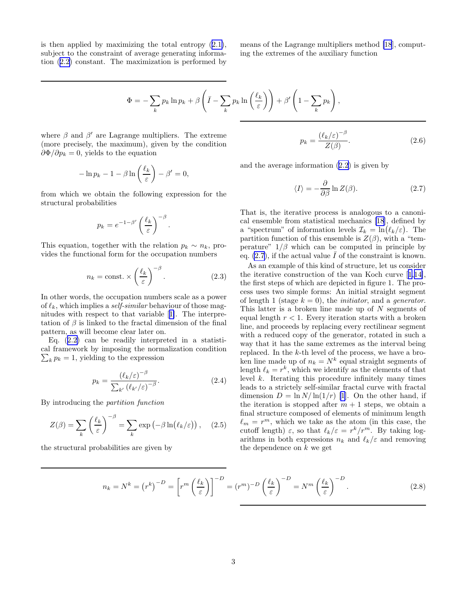<span id="page-2-0"></span>isthen applied by maximizing the total entropy  $(2.1)$  $(2.1)$ , subject to the constraint of average generating information([2.2\)](#page-1-0) constant. The maximization is performed by means of the Lagrange multipliers method [\[18](#page-6-0)], computing the extremes of the auxiliary function

$$
\Phi = -\sum_{k} p_k \ln p_k + \beta \left( \bar{I} - \sum_{k} p_k \ln \left( \frac{\ell_k}{\varepsilon} \right) \right) + \beta' \left( 1 - \sum_{k} p_k \right),
$$

where  $\beta$  and  $\beta'$  are Lagrange multipliers. The extreme (more precisely, the maximum), given by the condition  $\partial \Phi / \partial p_k = 0$ , yields to the equation

$$
-\ln p_k - 1 - \beta \ln \left(\frac{\ell_k}{\varepsilon}\right) - \beta' = 0,
$$

from which we obtain the following expression for the structural probabilities

$$
p_k = e^{-1-\beta'} \left(\frac{\ell_k}{\varepsilon}\right)^{-\beta}.
$$

This equation, together with the relation  $p_k \sim n_k$ , provides the functional form for the occupation numbers

$$
n_k = \text{const.} \times \left(\frac{\ell_k}{\varepsilon}\right)^{-\beta}.
$$
 (2.3)

In other words, the occupation numbers scale as a power of  $\ell_k$ , which implies a *self-similar* behaviour of those magnitudes with respect to that variable[[1\]](#page-5-0). The interpretation of  $\beta$  is linked to the fractal dimension of the final pattern, as will become clear later on.

Eq.([2.2\)](#page-1-0) can be readily interpreted in a statistical framework by imposing the normalization condition  $\sum_{k} p_k = 1$ , yielding to the expression

$$
p_k = \frac{\left(\ell_k/\varepsilon\right)^{-\beta}}{\sum_{k'} \left(\ell_{k'}/\varepsilon\right)^{-\beta}}.\tag{2.4}
$$

By introducing the partition function

$$
Z(\beta) = \sum_{k} \left(\frac{\ell_k}{\varepsilon}\right)^{-\beta} = \sum_{k} \exp\left(-\beta \ln(\ell_k/\varepsilon)\right), \quad (2.5)
$$

the structural probabilities are given by

$$
p_k = \frac{(\ell_k/\varepsilon)^{-\beta}}{Z(\beta)}.\tag{2.6}
$$

and the average information [\(2.2\)](#page-1-0) is given by

$$
\langle I \rangle = -\frac{\partial}{\partial \beta} \ln Z(\beta). \tag{2.7}
$$

That is, the iterative process is analogous to a canonical ensemble from statistical mechanics [\[18](#page-6-0)], defined by a "spectrum" of information levels  $\mathcal{I}_k = \ln(\ell_k/\varepsilon)$ . The partition function of this ensemble is  $Z(\beta)$ , with a "temperature"  $1/\beta$  which can be computed in principle by eq.  $(2.7)$ , if the actual value I of the constraint is known.

As an example of this kind of structure, let us consider the iterative construction of the van Koch curve[[1,](#page-5-0)[14\]](#page-6-0), the first steps of which are depicted in figure 1. The process uses two simple forms: An initial straight segment of length 1 (stage  $k = 0$ ), the *initiator*, and a *generator*. This latter is a broken line made up of N segments of equal length  $r < 1$ . Every iteration starts with a broken line, and proceeds by replacing every rectilinear segment with a reduced copy of the generator, rotated in such a way that it has the same extremes as the interval being replaced. In the k-th level of the process, we have a broken line made up of  $n_k = N^k$  equal straight segments of length  $\ell_k = r^k$ , which we identify as the elements of that level  $k$ . Iterating this procedure infinitely many times leads to a strictely self-similar fractal curve with fractal dimension  $D = \ln N / \ln(1/r)$  [\[1](#page-5-0)]. On the other hand, if the iteration is stopped after  $m + 1$  steps, we obtain a final structure composed of elements of minimum length  $\ell_m = r^m$ , which we take as the atom (in this case, the cutoff length)  $\varepsilon$ , so that  $\ell_k/\varepsilon = r^k/r^m$ . By taking logarithms in both expressions  $n_k$  and  $\ell_k/\varepsilon$  and removing the dependence on  $k$  we get

$$
n_k = N^k = (r^k)^{-D} = \left[r^m \left(\frac{\ell_k}{\varepsilon}\right)\right]^{-D} = (r^m)^{-D} \left(\frac{\ell_k}{\varepsilon}\right)^{-D} = N^m \left(\frac{\ell_k}{\varepsilon}\right)^{-D}.
$$
 (2.8)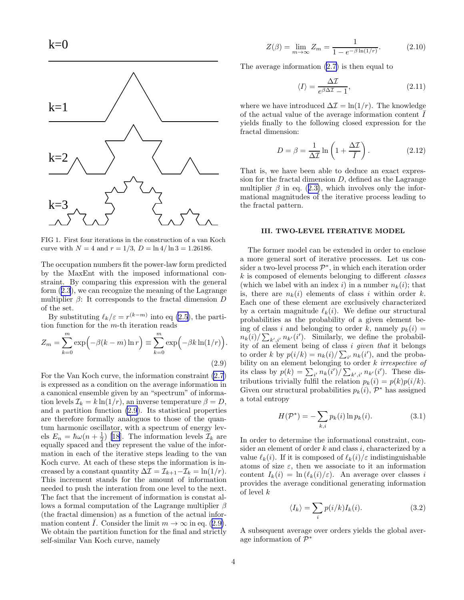<span id="page-3-0"></span>

FIG 1. First four iterations in the construction of a van Koch curve with  $N = 4$  and  $r = 1/3$ ,  $D = \ln 4 / \ln 3 = 1.26186$ .

The occupation numbers fit the power-law form predicted by the MaxEnt with the imposed informational constraint. By comparing this expression with the general form([2.3](#page-2-0)), we can recognize the meaning of the Lagrange multiplier  $\beta$ : It corresponds to the fractal dimension D of the set.

By substituting  $\ell_k/\varepsilon = r^{(k-m)}$  into eq [\(2.5](#page-2-0)), the partition function for the m-th iteration reads

$$
Z_m = \sum_{k=0}^{m} \exp\left(-\beta(k-m)\ln r\right) \equiv \sum_{k=0}^{m} \exp\left(-\beta k \ln(1/r)\right).
$$
\n(2.9)

For the Van Koch curve, the information constraint [\(2.7](#page-2-0)) is expressed as a condition on the average information in a canonical ensemble given by an "spectrum" of information levels  $\mathcal{I}_k = k \ln(1/r)$ , an inverse temperature  $\beta = D$ , and a partition function (2.9). Its statistical properties are therefore formally analoguos to those of the quantum harmonic oscillator, with a spectrum of energy levels  $E_n = \hbar \omega (n + \frac{1}{2})$  [\[18](#page-6-0)]. The information levels  $\mathcal{I}_k$  are equally spaced and they represent the value of the information in each of the iterative steps leading to the van Koch curve. At each of these steps the information is increased by a constant quantity  $\Delta \mathcal{I} = \mathcal{I}_{k+1} - \mathcal{I}_k = \ln(1/r)$ . This increment stands for the amount of information needed to push the interation from one level to the next. The fact that the increment of information is constat allows a formal computation of the Lagrange multiplier  $\beta$ (the fractal dimension) as a function of the actual information content *I*. Consider the limit  $m \to \infty$  in eq. (2.9). We obtain the partition function for the final and strictly self-similar Van Koch curve, namely

$$
Z(\beta) = \lim_{m \to \infty} Z_m = \frac{1}{1 - e^{-\beta \ln(1/r)}}.
$$
 (2.10)

The average information [\(2.7\)](#page-2-0) is then equal to

$$
\langle I \rangle = \frac{\Delta \mathcal{I}}{e^{\beta \Delta \mathcal{I}} - 1},\tag{2.11}
$$

where we have introduced  $\Delta \mathcal{I} = \ln(1/r)$ . The knowledge of the actual value of the average information content  $I$ yields finally to the following closed expression for the fractal dimension:

$$
D = \beta = \frac{1}{\Delta \mathcal{I}} \ln \left( 1 + \frac{\Delta \mathcal{I}}{\bar{I}} \right). \tag{2.12}
$$

That is, we have been able to deduce an exact expression for the fractal dimension  $D$ , defined as the Lagrange multiplier $\beta$  in eq. ([2.3\)](#page-2-0), which involves only the informational magnitudes of the iterative process leading to the fractal pattern.

### III. TWO-LEVEL ITERATIVE MODEL

The former model can be extended in order to enclose a more general sort of iterative processes. Let us consider a two-level process  $\mathcal{P}^*$ , in which each iteration order k is composed of elements belonging to different classes (which we label with an index i) in a number  $n_k(i)$ ; that is, there are  $n_k(i)$  elements of class i within order k. Each one of these element are exclusively characterized by a certain magnitude  $\ell_k(i)$ . We define our structural probabilities as the probability of a given element being of class i and belonging to order k, namely  $p_k(i) =$  $n_k(i)/\sum_{k',i'} n_{k'}(i')$ . Similarly, we define the probability of an element being of class i given that it belongs to order k by  $p(i/k) = n_k(i)/\sum_{i'} n_k(i')$ , and the probability on an element belonging to order k *irrespective* of its class by  $p(k) = \sum_{i'} n_k(i') / \sum_{k',i'} n_{k'}(i')$ . These distributions trivially fulfil the relation  $p_k(i) = p(k)p(i/k)$ . Given our structural probabilities  $p_k(i)$ ,  $\mathcal{P}^*$  has assigned a total entropy

$$
H(\mathcal{P}^*) = -\sum_{k,i} p_k(i) \ln p_k(i). \tag{3.1}
$$

In order to determine the informational constraint, consider an element of order  $k$  and class  $i$ , characterized by a value  $\ell_k(i)$ . If it is composed of  $\ell_k(i)/\varepsilon$  indistinguishable atoms of size  $\varepsilon$ , then we associate to it an information content  $I_k(i) = \ln (\ell_k(i)/\varepsilon)$ . An average over classes i provides the average conditional generating information of level k

$$
\langle I_k \rangle = \sum_i p(i/k) I_k(i). \tag{3.2}
$$

A subsequent average over orders yields the global average information of  $\tilde{\mathcal{P}}^*$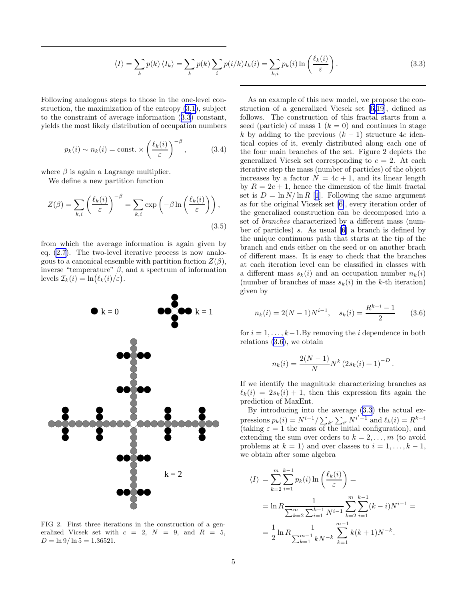$$
\langle I \rangle = \sum_{k} p(k) \langle I_{k} \rangle = \sum_{k} p(k) \sum_{i} p(i/k) I_{k}(i) = \sum_{k,i} p_{k}(i) \ln \left( \frac{\ell_{k}(i)}{\varepsilon} \right). \tag{3.3}
$$

<span id="page-4-0"></span>Following analogous steps to those in the one-level construction, the maximization of the entropy [\(3.1](#page-3-0)), subject to the constraint of average information (3.3) constant, yields the most likely distribution of occupation numbers

$$
p_k(i) \sim n_k(i) = \text{const.} \times \left(\frac{\ell_k(i)}{\varepsilon}\right)^{-\beta}, \quad (3.4)
$$

where  $\beta$  is again a Lagrange multiplier.

We define a new partition function

$$
Z(\beta) = \sum_{k,i} \left(\frac{\ell_k(i)}{\varepsilon}\right)^{-\beta} = \sum_{k,i} \exp\left(-\beta \ln\left(\frac{\ell_k(i)}{\varepsilon}\right)\right),\tag{3.5}
$$

from which the average information is again given by eq. [\(2.7](#page-2-0)). The two-level iterative process is now analogous to a canonical ensemble with partition fuction  $Z(\beta)$ , inverse "temperature"  $\beta$ , and a spectrum of information levels  $\mathcal{I}_k(i) = \ln(\ell_k(i)/\varepsilon).$ 



FIG 2. First three iterations in the construction of a generalized Vicsek set with  $c = 2$ ,  $N = 9$ , and  $R = 5$ ,  $D = \ln 9 / \ln 5 = 1.36521.$ 

As an example of this new model, we propose the construction of a generalized Vicsek set[[6](#page-6-0),[19\]](#page-6-0), defined as follows. The construction of this fractal starts from a seed (particle) of mass 1  $(k = 0)$  and continues in stage k by adding to the previous  $(k-1)$  structure 4c identical copies of it, evenly distributed along each one of the four main branches of the set. Figure 2 depicts the generalized Vicsek set corresponding to  $c = 2$ . At each iterative step the mass (number of particles) of the object increases by a factor  $N = 4c + 1$ , and its linear length by  $R = 2c + 1$ , hence the dimension of the limit fractal set is  $D = \ln N / \ln R$  [\[1](#page-5-0)]. Following the same argument as for the original Vicsek set [\[6\]](#page-6-0), every iteration order of the generalized construction can be decomposed into a set of branches characterized by a different mass (number of particles) s. As usual [\[6](#page-6-0)] a branch is defined by the unique continuous path that starts at the tip of the branch and ends either on the seed or on another brach of different mass. It is easy to check that the branches at each iteration level can be classified in classes with a different mass  $s_k(i)$  and an occupation number  $n_k(i)$ (number of branches of mass  $s_k(i)$  in the k-th iteration) given by

$$
n_k(i) = 2(N-1)N^{i-1}, \quad s_k(i) = \frac{R^{k-i}-1}{2} \tag{3.6}
$$

for  $i = 1, \ldots, k-1$ . By removing the i dependence in both relations (3.6), we obtain

$$
n_k(i) = \frac{2(N-1)}{N} N^k (2s_k(i) + 1)^{-D}.
$$

If we identify the magnitude characterizing branches as  $\ell_k(i) = 2s_k(i) + 1$ , then this expression fits again the prediction of MaxEnt.

By introducing into the average (3.3) the actual expressions  $p_k(i) = N^{i-1} / \sum_{k'} \sum_{i'} N^{i'-1}$  and  $\ell_k(i) = R^{k-i}$ (taking  $\varepsilon = 1$  the mass of the initial configuration), and extending the sum over orders to  $k = 2, \ldots, m$  (to avoid problems at  $k = 1$ ) and over classes to  $i = 1, ..., k - 1$ , we obtain after some algebra

$$
\langle I \rangle = \sum_{k=2}^{m} \sum_{i=1}^{k-1} p_k(i) \ln \left( \frac{\ell_k(i)}{\varepsilon} \right) =
$$
  
=  $\ln R \frac{1}{\sum_{k=2}^{m} \sum_{i=1}^{k-1} N^{i-1}} \sum_{k=2}^{m} \sum_{i=1}^{k-1} (k-i) N^{i-1} =$   
=  $\frac{1}{2} \ln R \frac{1}{\sum_{k=1}^{m-1} k N^{-k}} \sum_{k=1}^{m-1} k(k+1) N^{-k}.$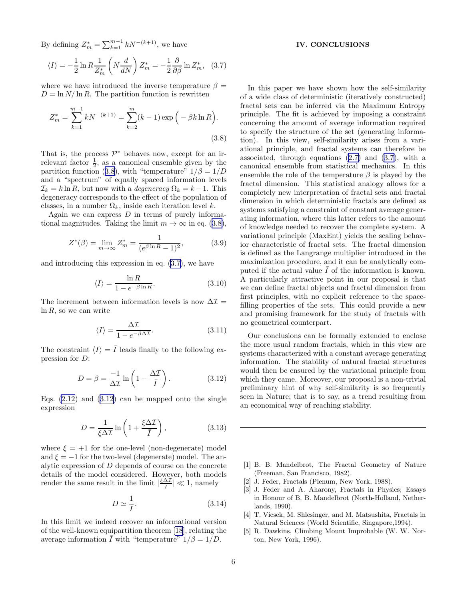<span id="page-5-0"></span>By defining  $Z_m^* = \sum_{k=1}^{m-1} k N^{-(k+1)}$ , we have

$$
\langle I \rangle = -\frac{1}{2} \ln R \frac{1}{Z_m^*} \left( N \frac{d}{dN} \right) Z_m^* = -\frac{1}{2} \frac{\partial}{\partial \beta} \ln Z_m^*, \quad (3.7)
$$

where we have introduced the inverse temperature  $\beta =$  $D = \ln N / \ln R$ . The partition function is rewritten

$$
Z_m^* = \sum_{k=1}^{m-1} kN^{-(k+1)} = \sum_{k=2}^m (k-1) \exp\left(-\beta k \ln R\right).
$$
\n(3.8)

That is, the process  $\mathcal{P}^*$  behaves now, except for an irrelevant factor  $\frac{1}{2}$ , as a canonical ensemble given by the partition function (3.8), with "temperature"  $1/\beta = 1/D$ and a "spectrum" of equally spaced information levels  $\mathcal{I}_k = k \ln R$ , but now with a *degeneracy*  $\Omega_k = k - 1$ . This degeneracy corresponds to the effect of the population of classes, in a number  $\Omega_k$ , inside each iteration level k.

Again we can express  $D$  in terms of purely informational magnitudes. Taking the limit  $m \to \infty$  in eq. (3.8),

$$
Z^*(\beta) = \lim_{m \to \infty} Z_m^* = \frac{1}{(e^{\beta \ln R} - 1)^2},
$$
 (3.9)

and introducing this expression in eq. [\(3.7](#page-4-0)), we have

$$
\langle I \rangle = \frac{\ln R}{1 - e^{-\beta \ln R}}.\tag{3.10}
$$

The increment between information levels is now  $\Delta \mathcal{I} =$  $\ln R$ , so we can write

$$
\langle I \rangle = \frac{\Delta \mathcal{I}}{1 - e^{-\beta \Delta \mathcal{I}}}.\tag{3.11}
$$

The constraint  $\langle I \rangle = \overline{I}$  leads finally to the following expression for D:

$$
D = \beta = \frac{-1}{\Delta \mathcal{I}} \ln \left( 1 - \frac{\Delta \mathcal{I}}{\bar{I}} \right). \tag{3.12}
$$

Eqs.  $(2.12)$  and  $(3.12)$  can be mapped onto the single expression

$$
D = \frac{1}{\xi \Delta \mathcal{I}} \ln \left( 1 + \frac{\xi \Delta \mathcal{I}}{\bar{I}} \right),\tag{3.13}
$$

where  $\xi = +1$  for the one-level (non-degenerate) model and  $\xi = -1$  for the two-level (degenerate) model. The analytic expression of D depends of course on the concrete details of the model considered. However, both models render the same result in the limit  $\frac{\xi \Delta T}{\overline{I}}$  $\frac{\Delta L}{\overline{I}} \leq 1$ , namely

$$
D \simeq \frac{1}{\bar{I}}.\tag{3.14}
$$

In this limit we indeed recover an informational version of the well-known equipartition theorem [\[18](#page-6-0)], relating the average information  $\overline{I}$  with "temperature"  $1/\beta = 1/D$ .

## IV. CONCLUSIONS

In this paper we have shown how the self-similarity of a wide class of deterministic (iteratively constructed) fractal sets can be inferred via the Maximum Entropy principle. The fit is achieved by imposing a constraint concerning the amount of average information required to specify the structure of the set (generating information). In this view, self-similarity arises from a variational principle, and fractal systems can therefore be associated, through equations([2.7\)](#page-2-0) and [\(3.7\)](#page-4-0), with a canonical ensemble from statistical mechanics. In this ensemble the role of the temperature  $\beta$  is played by the fractal dimension. This statistical analogy allows for a completely new interpretation of fractal sets and fractal dimension in which deterministic fractals are defined as systems satisfying a constraint of constant average generating information, where this latter refers to the amount of knowledge needed to recover the complete system. A variational principle (MaxEnt) yields the scaling behavior characteristic of fractal sets. The fractal dimension is defined as the Langrange multiplier introduced in the maximization procedure, and it can be analytically computed if the actual value  $\overline{I}$  of the information is known. A particularly attractive point in our proposal is that we can define fractal objects and fractal dimension from first principles, with no explicit reference to the spacefilling properties of the sets. This could provide a new and promising framework for the study of fractals with no geometrical counterpart.

Our conclusions can be formally extended to enclose the more usual random fractals, which in this view are systems characterized with a constant average generating information. The stability of natural fractal structures would then be ensured by the variational principle from which they came. Moreover, our proposal is a non-trivial preliminary hint of why self-similarity is so frequently seen in Nature; that is to say, as a trend resulting from an economical way of reaching stability.

- [1] B. B. Mandelbrot, The Fractal Geometry of Nature (Freeman, San Francisco, 1982).
- [2] J. Feder, Fractals (Plenum, New York, 1988).
- [3] J. Feder and A. Aharony, Fractals in Physics; Essays in Honour of B. B. Mandelbrot (North-Holland, Netherlands, 1990).
- [4] T. Vicsek, M. Shlesinger, and M. Matsushita, Fractals in Natural Sciences (World Scientific, Singapore,1994).
- [5] R. Dawkins, Climbing Mount Improbable (W. W. Norton, New York, 1996).